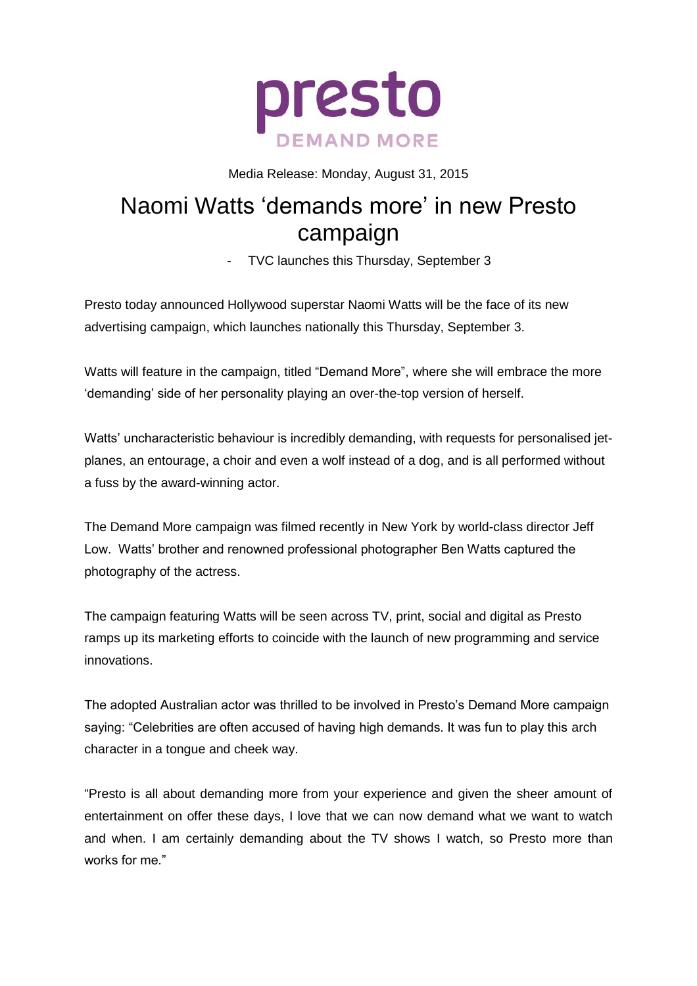

Media Release: Monday, August 31, 2015

## Naomi Watts 'demands more' in new Presto campaign

- TVC launches this Thursday, September 3

Presto today announced Hollywood superstar Naomi Watts will be the face of its new advertising campaign, which launches nationally this Thursday, September 3.

Watts will feature in the campaign, titled "Demand More", where she will embrace the more 'demanding' side of her personality playing an over-the-top version of herself.

Watts' uncharacteristic behaviour is incredibly demanding, with requests for personalised jetplanes, an entourage, a choir and even a wolf instead of a dog, and is all performed without a fuss by the award-winning actor.

The Demand More campaign was filmed recently in New York by world-class director Jeff Low. Watts' brother and renowned professional photographer Ben Watts captured the photography of the actress.

The campaign featuring Watts will be seen across TV, print, social and digital as Presto ramps up its marketing efforts to coincide with the launch of new programming and service innovations.

The adopted Australian actor was thrilled to be involved in Presto's Demand More campaign saying: "Celebrities are often accused of having high demands. It was fun to play this arch character in a tongue and cheek way.

"Presto is all about demanding more from your experience and given the sheer amount of entertainment on offer these days, I love that we can now demand what we want to watch and when. I am certainly demanding about the TV shows I watch, so Presto more than works for me."